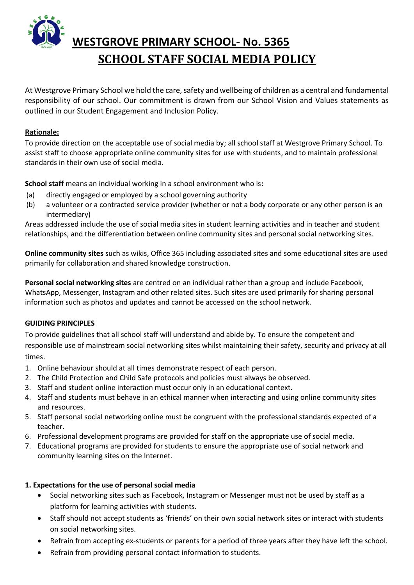

# **WESTGROVE PRIMARY SCHOOL- No. 5365 SCHOOL STAFF SOCIAL MEDIA POLICY**

At Westgrove Primary School we hold the care, safety and wellbeing of children as a central and fundamental responsibility of our school. Our commitment is drawn from our School Vision and Values statements as outlined in our Student Engagement and Inclusion Policy.

#### **Rationale:**

To provide direction on the acceptable use of social media by; all school staff at Westgrove Primary School. To assist staff to choose appropriate online community sites for use with students, and to maintain professional standards in their own use of social media.

**School staff** means an individual working in a school environment who is**:**

- (a) directly engaged or employed by a school governing authority
- (b) a volunteer or a contracted service provider (whether or not a body corporate or any other person is an intermediary)

Areas addressed include the use of social media sites in student learning activities and in teacher and student relationships, and the differentiation between online community sites and personal social networking sites.

**Online community sites** such as wikis, Office 365 including associated sites and some educational sites are used primarily for collaboration and shared knowledge construction.

**Personal social networking sites** are centred on an individual rather than a group and include Facebook, WhatsApp, Messenger, Instagram and other related sites. Such sites are used primarily for sharing personal information such as photos and updates and cannot be accessed on the school network.

#### **GUIDING PRINCIPLES**

To provide guidelines that all school staff will understand and abide by. To ensure the competent and responsible use of mainstream social networking sites whilst maintaining their safety, security and privacy at all times.

- 1. Online behaviour should at all times demonstrate respect of each person.
- 2. The Child Protection and Child Safe protocols and policies must always be observed.
- 3. Staff and student online interaction must occur only in an educational context.
- 4. Staff and students must behave in an ethical manner when interacting and using online community sites and resources.
- 5. Staff personal social networking online must be congruent with the professional standards expected of a teacher.
- 6. Professional development programs are provided for staff on the appropriate use of social media.
- 7. Educational programs are provided for students to ensure the appropriate use of social network and community learning sites on the Internet.

# **1. Expectations for the use of personal social media**

- Social networking sites such as Facebook, Instagram or Messenger must not be used by staff as a platform for learning activities with students.
- Staff should not accept students as 'friends' on their own social network sites or interact with students on social networking sites.
- Refrain from accepting ex-students or parents for a period of three years after they have left the school.
- Refrain from providing personal contact [information](http://dangerouslyirrelevant.org/2012/04/what-do-you-think-of-this-proposed-social-media-policy-for-school-employees.html) to students.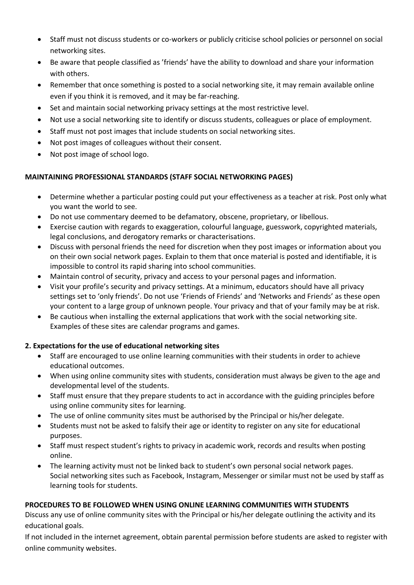- Staff must not discuss students or co-workers or publicly criticise school policies or personnel on social networking sites.
- Be aware that people classified as 'friends' have the ability to download and share your information with others.
- Remember that once something is posted to a social networking site, it may remain available online even if you think it is removed, and it may be far-reaching.
- Set and maintain social networking privacy settings at the most restrictive level.
- Not use a social networking site to identify or discuss students, colleagues or place of employment.
- Staff must not post images that include students on social networking sites.
- Not post images of colleagues without their consent.
- Not post image of school logo.

# **MAINTAINING PROFESSIONAL STANDARDS (STAFF SOCIAL NETWORKING PAGES)**

- Determine whether a particular posting could put your effectiveness as a teacher at risk. Post only what you want the world to see.
- Do not use commentary deemed to be defamatory, obscene, proprietary, or libellous.
- Exercise caution with regards to exaggeration, colourful language, guesswork, copyrighted materials, legal conclusions, and derogatory remarks or characterisations.
- Discuss with personal friends the need for discretion when they post images or information about you on their own social network pages. Explain to them that once material is posted and identifiable, it is impossible to control its rapid sharing into school communities.
- Maintain control of security, privacy and access to your personal pages and information.
- Visit your profile's security and privacy settings. At a minimum, educators should have all privacy settings set to 'only friends'. Do not use 'Friends of Friends' and 'Networks and Friends' as these open your content to a large group of unknown people. Your privacy and that of your family may be at risk.
- Be cautious when installing the external applications that work with the social networking site. Examples of these sites are calendar programs and games.

# **2. Expectations for the use of educational networking sites**

- Staff are encouraged to use online learning communities with their students in order to achieve educational outcomes.
- When using online community sites with students, consideration must always be given to the age and developmental level of the students.
- Staff must ensure that they prepare students to act in accordance with the guiding principles before using online community sites for learning.
- The use of online community sites must be authorised by the Principal or his/her delegate.
- Students must not be asked to falsify their age or identity to register on any site for educational purposes.
- Staff must respect student's rights to privacy in academic work, records and results when posting online.
- The learning activity must not be linked back to student's own personal social network pages. Social networking sites such as Facebook, Instagram, Messenger or similar must not be used by staff as learning tools for students.

# **PROCEDURES TO BE FOLLOWED WHEN USING ONLINE LEARNING COMMUNITIES WITH STUDENTS**

Discuss any use of online community sites with the Principal or his/her delegate outlining the activity and its educational goals.

If not included in the internet agreement, obtain parental permission before students are asked to register with online community websites.